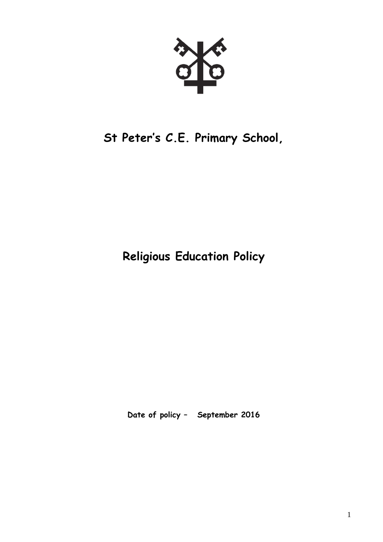# **St Peter's C.E. Primary School,**

**Religious Education Policy**

**Date of policy – September 2016**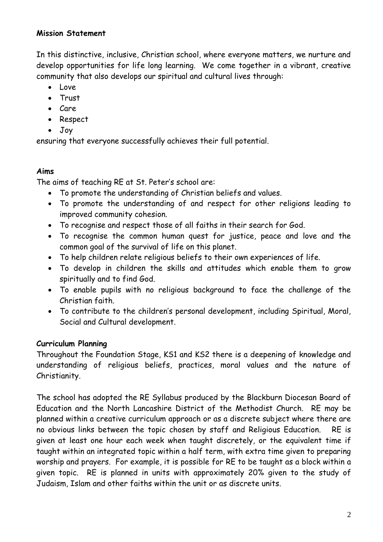## **Mission Statement**

In this distinctive, inclusive, Christian school, where everyone matters, we nurture and develop opportunities for life long learning. We come together in a vibrant, creative community that also develops our spiritual and cultural lives through:

- $\bullet$  Love
- Trust
- Care
- Respect
- Joy

ensuring that everyone successfully achieves their full potential.

## **Aims**

The aims of teaching RE at St. Peter's school are:

- To promote the understanding of Christian beliefs and values.
- To promote the understanding of and respect for other religions leading to improved community cohesion.
- To recognise and respect those of all faiths in their search for God.
- To recognise the common human quest for justice, peace and love and the common goal of the survival of life on this planet.
- To help children relate religious beliefs to their own experiences of life.
- To develop in children the skills and attitudes which enable them to grow spiritually and to find God.
- To enable pupils with no religious background to face the challenge of the Christian faith.
- To contribute to the children's personal development, including Spiritual, Moral, Social and Cultural development.

## **Curriculum Planning**

Throughout the Foundation Stage, KS1 and KS2 there is a deepening of knowledge and understanding of religious beliefs, practices, moral values and the nature of Christianity.

The school has adopted the RE Syllabus produced by the Blackburn Diocesan Board of Education and the North Lancashire District of the Methodist Church. RE may be planned within a creative curriculum approach or as a discrete subject where there are no obvious links between the topic chosen by staff and Religious Education. RE is given at least one hour each week when taught discretely, or the equivalent time if taught within an integrated topic within a half term, with extra time given to preparing worship and prayers. For example, it is possible for RE to be taught as a block within a given topic. RE is planned in units with approximately 20% given to the study of Judaism, Islam and other faiths within the unit or as discrete units.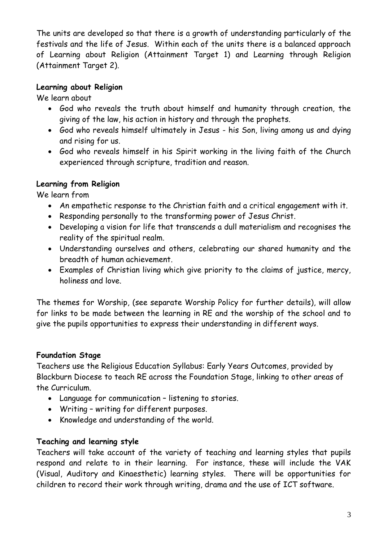The units are developed so that there is a growth of understanding particularly of the festivals and the life of Jesus. Within each of the units there is a balanced approach of Learning about Religion (Attainment Target 1) and Learning through Religion (Attainment Target 2).

## **Learning about Religion**

We learn about

- God who reveals the truth about himself and humanity through creation, the giving of the law, his action in history and through the prophets.
- God who reveals himself ultimately in Jesus his Son, living among us and dying and rising for us.
- God who reveals himself in his Spirit working in the living faith of the Church experienced through scripture, tradition and reason.

# **Learning from Religion**

We learn from

- An empathetic response to the Christian faith and a critical engagement with it.
- Responding personally to the transforming power of Jesus Christ.
- Developing a vision for life that transcends a dull materialism and recognises the reality of the spiritual realm.
- Understanding ourselves and others, celebrating our shared humanity and the breadth of human achievement.
- Examples of Christian living which give priority to the claims of justice, mercy, holiness and love.

The themes for Worship, (see separate Worship Policy for further details), will allow for links to be made between the learning in RE and the worship of the school and to give the pupils opportunities to express their understanding in different ways.

# **Foundation Stage**

Teachers use the Religious Education Syllabus: Early Years Outcomes, provided by Blackburn Diocese to teach RE across the Foundation Stage, linking to other areas of the Curriculum.

- Language for communication listening to stories.
- Writing writing for different purposes.
- Knowledge and understanding of the world.

# **Teaching and learning style**

Teachers will take account of the variety of teaching and learning styles that pupils respond and relate to in their learning. For instance, these will include the VAK (Visual, Auditory and Kinaesthetic) learning styles. There will be opportunities for children to record their work through writing, drama and the use of ICT software.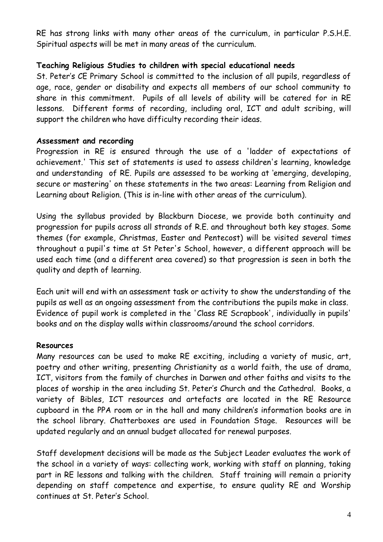RE has strong links with many other areas of the curriculum, in particular P.S.H.E. Spiritual aspects will be met in many areas of the curriculum.

## **Teaching Religious Studies to children with special educational needs**

St. Peter's CE Primary School is committed to the inclusion of all pupils, regardless of age, race, gender or disability and expects all members of our school community to share in this commitment. Pupils of all levels of ability will be catered for in RE lessons. Different forms of recording, including oral, ICT and adult scribing, will support the children who have difficulty recording their ideas.

## **Assessment and recording**

Progression in RE is ensured through the use of a 'ladder of expectations of achievement.' This set of statements is used to assess children's learning, knowledge and understanding of RE. Pupils are assessed to be working at 'emerging, developing, secure or mastering' on these statements in the two areas: Learning from Religion and Learning about Religion. (This is in-line with other areas of the curriculum).

Using the syllabus provided by Blackburn Diocese, we provide both continuity and progression for pupils across all strands of R.E. and throughout both key stages. Some themes (for example, Christmas, Easter and Pentecost) will be visited several times throughout a pupil's time at St Peter's School, however, a different approach will be used each time (and a different area covered) so that progression is seen in both the quality and depth of learning.

Each unit will end with an assessment task or activity to show the understanding of the pupils as well as an ongoing assessment from the contributions the pupils make in class. Evidence of pupil work is completed in the 'Class RE Scrapbook', individually in pupils' books and on the display walls within classrooms/around the school corridors.

#### **Resources**

Many resources can be used to make RE exciting, including a variety of music, art, poetry and other writing, presenting Christianity as a world faith, the use of drama, ICT, visitors from the family of churches in Darwen and other faiths and visits to the places of worship in the area including St. Peter's Church and the Cathedral. Books, a variety of Bibles, ICT resources and artefacts are located in the RE Resource cupboard in the PPA room or in the hall and many children's information books are in the school library. Chatterboxes are used in Foundation Stage. Resources will be updated regularly and an annual budget allocated for renewal purposes.

Staff development decisions will be made as the Subject Leader evaluates the work of the school in a variety of ways: collecting work, working with staff on planning, taking part in RE lessons and talking with the children. Staff training will remain a priority depending on staff competence and expertise, to ensure quality RE and Worship continues at St. Peter's School.